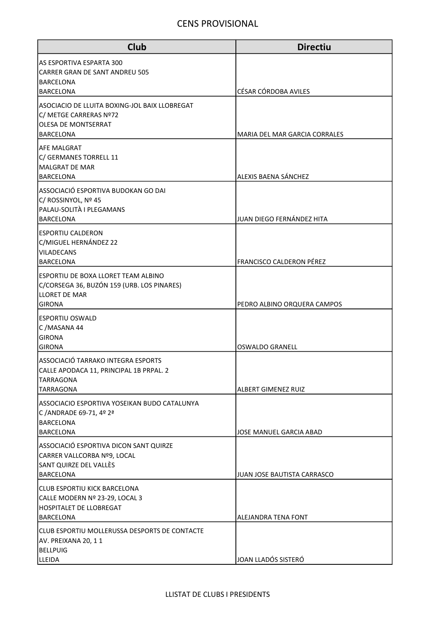| <b>Club</b>                                                                           | <b>Directiu</b>                 |
|---------------------------------------------------------------------------------------|---------------------------------|
| AS ESPORTIVA ESPARTA 300<br><b>CARRER GRAN DE SANT ANDREU 505</b><br><b>BARCELONA</b> |                                 |
| <b>BARCELONA</b>                                                                      | CÉSAR CÓRDOBA AVILES            |
| ASOCIACIO DE LLUITA BOXING-JOL BAIX LLOBREGAT<br>C/ METGE CARRERAS Nº72               |                                 |
| OLESA DE MONTSERRAT                                                                   |                                 |
| <b>BARCELONA</b><br>lAFE MALGRAT                                                      | MARIA DEL MAR GARCIA CORRALES   |
| C/ GERMANES TORRELL 11                                                                |                                 |
| MALGRAT DE MAR<br><b>BARCELONA</b>                                                    | ALEXIS BAENA SÁNCHEZ            |
| ASSOCIACIÓ ESPORTIVA BUDOKAN GO DAI                                                   |                                 |
| C/ ROSSINYOL, Nº 45                                                                   |                                 |
| PALAU-SOLITÀ I PLEGAMANS<br><b>BARCELONA</b>                                          | JUAN DIEGO FERNÁNDEZ HITA       |
| <b>ESPORTIU CALDERON</b>                                                              |                                 |
| C/MIGUEL HERNÁNDEZ 22                                                                 |                                 |
| <b>VILADECANS</b><br><b>BARCELONA</b>                                                 | <b>FRANCISCO CALDERON PÉREZ</b> |
| ESPORTIU DE BOXA LLORET TEAM ALBINO                                                   |                                 |
| C/CORSEGA 36, BUZÓN 159 (URB. LOS PINARES)                                            |                                 |
| <b>LLORET DE MAR</b><br><b>GIRONA</b>                                                 | PEDRO ALBINO ORQUERA CAMPOS     |
| <b>ESPORTIU OSWALD</b>                                                                |                                 |
| C/MASANA 44                                                                           |                                 |
| <b>GIRONA</b><br><b>GIRONA</b>                                                        | <b>OSWALDO GRANELL</b>          |
| ASSOCIACIÓ TARRAKO INTEGRA ESPORTS                                                    |                                 |
| CALLE APODACA 11, PRINCIPAL 1B PRPAL. 2                                               |                                 |
| <b>TARRAGONA</b><br>TARRAGONA                                                         | <b>ALBERT GIMENEZ RUIZ</b>      |
| ASSOCIACIO ESPORTIVA YOSEIKAN BUDO CATALUNYA                                          |                                 |
| C / ANDRADE 69-71, 4º 2ª<br><b>BARCELONA</b>                                          |                                 |
| <b>BARCELONA</b>                                                                      | JOSE MANUEL GARCIA ABAD         |
| ASSOCIACIÓ ESPORTIVA DICON SANT QUIRZE                                                |                                 |
| CARRER VALLCORBA Nº9, LOCAL<br>SANT QUIRZE DEL VALLÈS                                 |                                 |
| <b>BARCELONA</b>                                                                      | IJUAN JOSE BAUTISTA CARRASCO    |
| <b>CLUB ESPORTIU KICK BARCELONA</b>                                                   |                                 |
| CALLE MODERN Nº 23-29, LOCAL 3<br>HOSPITALET DE LLOBREGAT                             |                                 |
| <b>BARCELONA</b>                                                                      | ALEJANDRA TENA FONT             |
| CLUB ESPORTIU MOLLERUSSA DESPORTS DE CONTACTE                                         |                                 |
| AV. PREIXANA 20, 11<br><b>BELLPUIG</b>                                                |                                 |
| <b>LLEIDA</b>                                                                         | JOAN LLADÓS SISTERÓ             |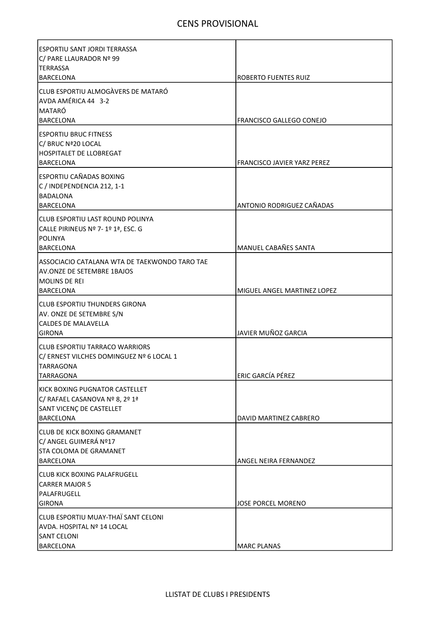| lESPORTIU SANT JORDI TERRASSA<br>C/ PARE LLAURADOR Nº 99                                                                |                                                     |
|-------------------------------------------------------------------------------------------------------------------------|-----------------------------------------------------|
| <b>TERRASSA</b><br>BARCELONA                                                                                            | <b>ROBERTO FUENTES RUIZ</b>                         |
| CLUB ESPORTIU ALMOGÀVERS DE MATARÓ<br>AVDA AMÉRICA 44 3-2<br>MATARÓ<br><b>BARCELONA</b>                                 | FRANCISCO GALLEGO CONEJO                            |
| <b>IESPORTIU BRUC FITNESS</b><br>C/ BRUC Nª20 LOCAL<br><b>HOSPITALET DE LLOBREGAT</b><br>BARCELONA                      | FRANCISCO JAVIER YARZ PEREZ                         |
| <b>ESPORTIU CAÑADAS BOXING</b><br>C / INDEPENDENCIA 212, 1-1<br><b>BADALONA</b>                                         |                                                     |
| BARCELONA<br>CLUB ESPORTIU LAST ROUND POLINYA<br>CALLE PIRINEUS Nº 7-1º 1ª, ESC. G<br>POLINYA                           | <b>ANTONIO RODRIGUEZ CAÑADAS</b>                    |
| BARCELONA<br>IASSOCIACIO CATALANA WTA DE TAEKWONDO TARO TAE<br>AV.ONZE DE SETEMBRE 1BAJOS<br>MOLINS DE REI<br>BARCELONA | MANUEL CABAÑES SANTA<br>MIGUEL ANGEL MARTINEZ LOPEZ |
| ICLUB ESPORTIU THUNDERS GIRONA<br>AV. ONZE DE SETEMBRE S/N<br>lCALDES DE MALAVELLA<br><b>GIRONA</b>                     | JAVIER MUÑOZ GARCIA                                 |
| ICLUB ESPORTIU TARRACO WARRIORS<br>C/ERNEST VILCHES DOMINGUEZ Nº 6 LOCAL 1<br><b>TARRAGONA</b><br><b>TARRAGONA</b>      | ERIC GARCÍA PÉREZ                                   |
| KICK BOXING PUGNATOR CASTELLET<br>C/ RAFAEL CASANOVA Nº 8, 2º 1ª<br>SANT VICENÇ DE CASTELLET<br>BARCELONA               | DAVID MARTINEZ CABRERO                              |
| CLUB DE KICK BOXING GRAMANET<br>C/ ANGEL GUIMERÁ Nº17<br><b>STA COLOMA DE GRAMANET</b><br><b>BARCELONA</b>              | ANGEL NEIRA FERNANDEZ                               |
| <b>CLUB KICK BOXING PALAFRUGELL</b><br><b>CARRER MAJOR 5</b><br>PALAFRUGELL<br>GIRONA                                   | JOSE PORCEL MORENO                                  |
| CLUB ESPORTIU MUAY-THAÏ SANT CELONI<br>AVDA. HOSPITAL Nº 14 LOCAL<br><b>SANT CELONI</b><br><b>BARCELONA</b>             | <b>MARC PLANAS</b>                                  |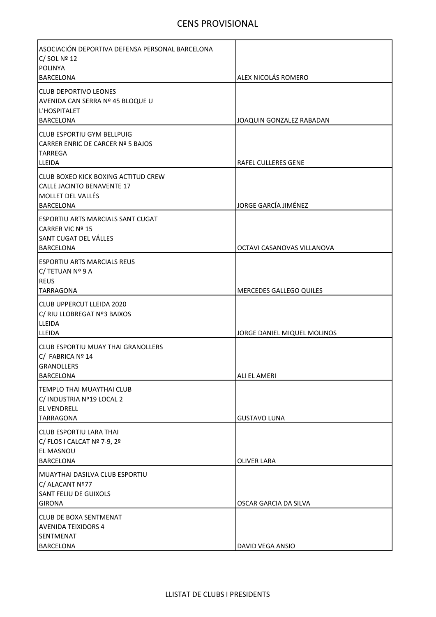| ASOCIACIÓN DEPORTIVA DEFENSA PERSONAL BARCELONA<br>$C/$ SOL Nº 12<br>POLINYA                         |                             |
|------------------------------------------------------------------------------------------------------|-----------------------------|
| <b>BARCELONA</b>                                                                                     | <b>ALEX NICOLÁS ROMERO</b>  |
| <b>CLUB DEPORTIVO LEONES</b><br>AVENIDA CAN SERRA Nº 45 BLOQUE U<br>L'HOSPITALET<br><b>BARCELONA</b> | JOAQUIN GONZALEZ RABADAN    |
| CLUB ESPORTIU GYM BELLPUIG<br>CARRER ENRIC DE CARCER Nº 5 BAJOS<br>TARREGA<br><b>LLEIDA</b>          | <b>RAFEL CULLERES GENE</b>  |
| CLUB BOXEO KICK BOXING ACTITUD CREW<br>CALLE JACINTO BENAVENTE 17<br>MOLLET DEL VALLÉS<br>BARCELONA  | JORGE GARCÍA JIMÉNEZ        |
| ESPORTIU ARTS MARCIALS SANT CUGAT<br>CARRER VIC Nº 15<br>SANT CUGAT DEL VÁLLES<br><b>BARCELONA</b>   | OCTAVI CASANOVAS VILLANOVA  |
| ESPORTIU ARTS MARCIALS REUS<br>C/ TETUAN Nº 9 A<br><b>REUS</b><br> TARRAGONA                         | MERCEDES GALLEGO QUILES     |
| CLUB UPPERCUT LLEIDA 2020<br>C/ RIU LLOBREGAT Nº3 BAIXOS<br><b>LLEIDA</b><br>ILLEIDA                 | JORGE DANIEL MIQUEL MOLINOS |
| <b>CLUB ESPORTIU MUAY THAI GRANOLLERS</b><br>C/ FABRICA Nº 14<br>IGRANOLLERS<br><b>BARCELONA</b>     | ALI EL AMERI                |
| TEMPLO THAI MUAYTHAI CLUB<br>C/ INDUSTRIA Nº19 LOCAL 2<br><b>EL VENDRELL</b><br>TARRAGONA            | <b>GUSTAVO LUNA</b>         |
| ICLUB ESPORTIU LARA THAI<br>C/ FLOS I CALCAT Nº 7-9, 2º<br><b>EL MASNOU</b><br><b>BARCELONA</b>      | <b>OLIVER LARA</b>          |
| MUAYTHAI DASILVA CLUB ESPORTIU<br>C/ ALACANT Nº77<br>SANT FELIU DE GUIXOLS<br><b>GIRONA</b>          | OSCAR GARCIA DA SILVA       |
| <b>CLUB DE BOXA SENTMENAT</b><br><b>AVENIDA TEIXIDORS 4</b><br>SENTMENAT<br><b>BARCELONA</b>         | DAVID VEGA ANSIO            |